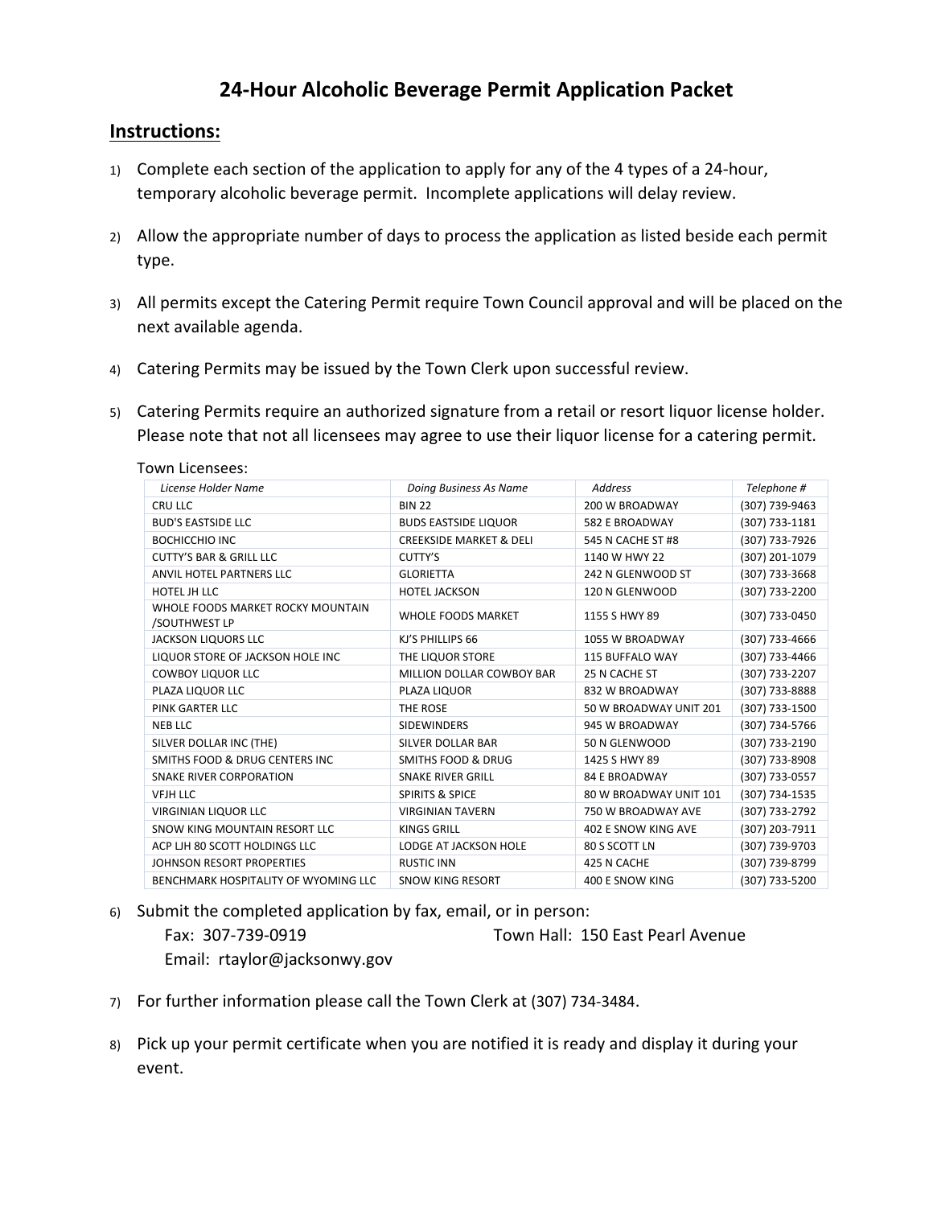## **24-Hour Alcoholic Beverage Permit Application Packet**

## **Instructions:**

- 1) Complete each section of the application to apply for any of the 4 types of a 24-hour, temporary alcoholic beverage permit. Incomplete applications will delay review.
- 2) Allow the appropriate number of days to process the application as listed beside each permit type.
- 3) All permits except the Catering Permit require Town Council approval and will be placed on the next available agenda.
- 4) Catering Permits may be issued by the Town Clerk upon successful review.
- 5) Catering Permits require an authorized signature from a retail or resort liquor license holder. Please note that not all licensees may agree to use their liquor license for a catering permit.

Town Licensees:

| License Holder Name                                | Doing Business As Name             | <b>Address</b>             | Telephone #    |
|----------------------------------------------------|------------------------------------|----------------------------|----------------|
| CRU LLC                                            | <b>BIN 22</b>                      | 200 W BROADWAY             | (307) 739-9463 |
| <b>BUD'S EASTSIDE LLC</b>                          | <b>BUDS EASTSIDE LIQUOR</b>        | 582 E BROADWAY             | (307) 733-1181 |
| <b>BOCHICCHIO INC</b>                              | <b>CREEKSIDE MARKET &amp; DELI</b> | 545 N CACHE ST #8          | (307) 733-7926 |
| <b>CUTTY'S BAR &amp; GRILL LLC</b>                 | CUTTY'S                            | 1140 W HWY 22              | (307) 201-1079 |
| ANVIL HOTEL PARTNERS LLC                           | <b>GLORIETTA</b>                   | 242 N GLENWOOD ST          | (307) 733-3668 |
| HOTEL JH LLC                                       | <b>HOTEL JACKSON</b>               | 120 N GLENWOOD             | (307) 733-2200 |
| WHOLE FOODS MARKET ROCKY MOUNTAIN<br>/SOUTHWEST LP | <b>WHOLE FOODS MARKET</b>          | 1155 S HWY 89              | (307) 733-0450 |
| <b>JACKSON LIQUORS LLC</b>                         | KJ'S PHILLIPS 66                   | 1055 W BROADWAY            | (307) 733-4666 |
| LIQUOR STORE OF JACKSON HOLE INC                   | THE LIQUOR STORE                   | <b>115 BUFFALO WAY</b>     | (307) 733-4466 |
| <b>COWBOY LIQUOR LLC</b>                           | MILLION DOLLAR COWBOY BAR          | 25 N CACHE ST              | (307) 733-2207 |
| PLAZA LIQUOR LLC                                   | PLAZA LIQUOR                       | 832 W BROADWAY             | (307) 733-8888 |
| PINK GARTER LLC                                    | THE ROSE                           | 50 W BROADWAY UNIT 201     | (307) 733-1500 |
| <b>NEB LLC</b>                                     | <b>SIDEWINDERS</b>                 | 945 W BROADWAY             | (307) 734-5766 |
| SILVER DOLLAR INC (THE)                            | <b>SILVER DOLLAR BAR</b>           | 50 N GLENWOOD              | (307) 733-2190 |
| SMITHS FOOD & DRUG CENTERS INC.                    | <b>SMITHS FOOD &amp; DRUG</b>      | 1425 S HWY 89              | (307) 733-8908 |
| <b>SNAKE RIVER CORPORATION</b>                     | <b>SNAKE RIVER GRILL</b>           | <b>84 E BROADWAY</b>       | (307) 733-0557 |
| <b>VFJH LLC</b>                                    | <b>SPIRITS &amp; SPICE</b>         | 80 W BROADWAY UNIT 101     | (307) 734-1535 |
| <b>VIRGINIAN LIQUOR LLC</b>                        | <b>VIRGINIAN TAVERN</b>            | 750 W BROADWAY AVE         | (307) 733-2792 |
| SNOW KING MOUNTAIN RESORT LLC                      | <b>KINGS GRILL</b>                 | <b>402 E SNOW KING AVE</b> | (307) 203-7911 |
| ACP LIH 80 SCOTT HOLDINGS LLC                      | <b>LODGE AT JACKSON HOLE</b>       | 80 S SCOTT LN              | (307) 739-9703 |
| JOHNSON RESORT PROPERTIES                          | <b>RUSTIC INN</b>                  | 425 N CACHE                | (307) 739-8799 |
| BENCHMARK HOSPITALITY OF WYOMING LLC               | <b>SNOW KING RESORT</b>            | <b>400 E SNOW KING</b>     | (307) 733-5200 |

- 6) Submit the completed application by fax, email, or in person: Fax: 307-739-0919 Town Hall: 150 East Pearl Avenue Email: rtaylor@jacksonwy.gov
- 7) For further information please call the Town Clerk at (307) 734-3484.
- 8) Pick up your permit certificate when you are notified it is ready and display it during your event.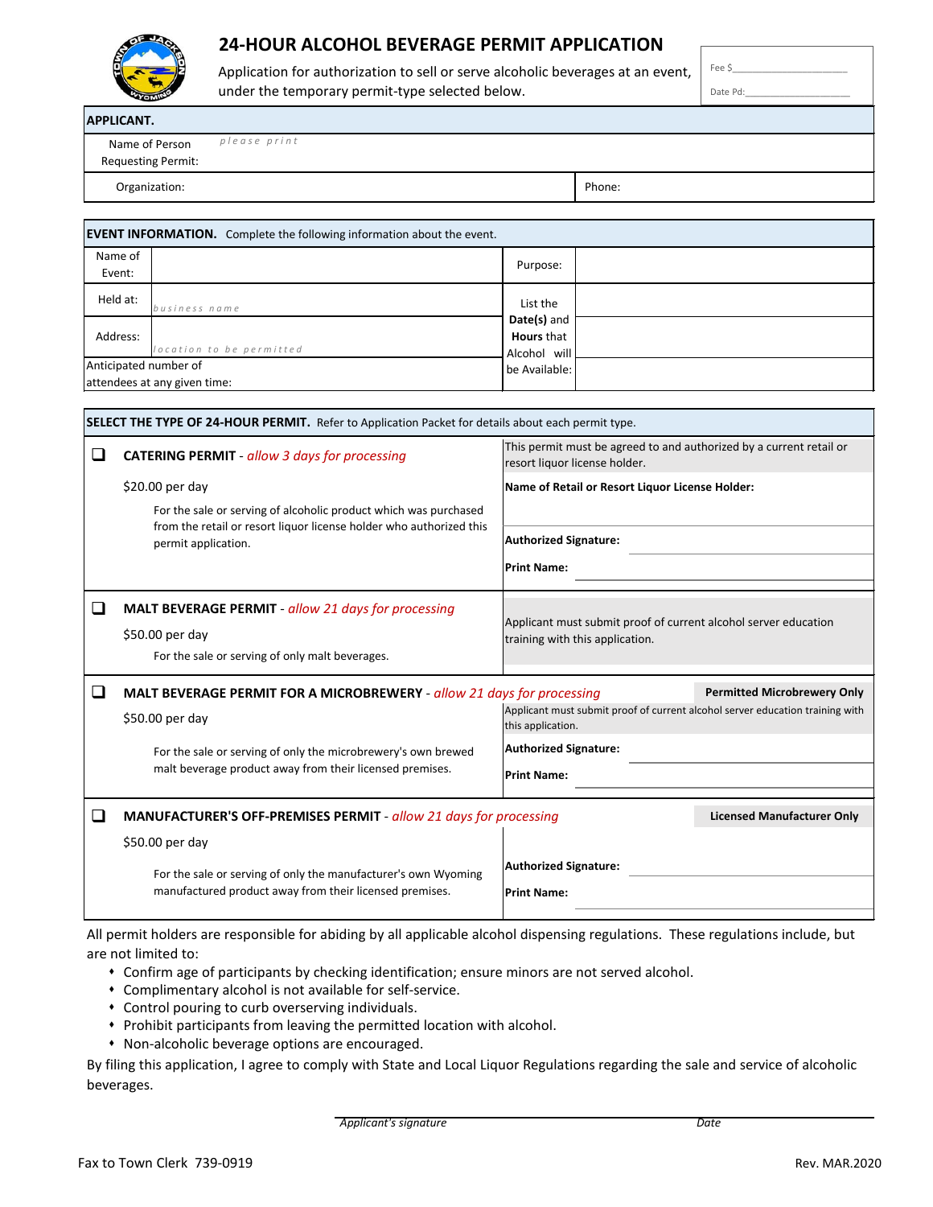

# **24-HOUR ALCOHOL BEVERAGE PERMIT APPLICATION**

Application for authorization to sell or serve alcoholic beverages at an event, under the temporary permit-type selected below.

Date Pd:

Fee \$\_\_\_\_\_\_\_\_\_\_\_\_\_\_\_\_\_\_\_\_\_\_\_

| <b>APPLICANT.</b>                           |              |  |        |
|---------------------------------------------|--------------|--|--------|
| Name of Person<br><b>Requesting Permit:</b> | please print |  |        |
| Organization:                               |              |  | Phone: |

| <b>EVENT INFORMATION.</b> Complete the following information about the event. |                                                  |  |  |  |
|-------------------------------------------------------------------------------|--------------------------------------------------|--|--|--|
| Name of<br>Event:                                                             | Purpose:                                         |  |  |  |
| Held at:<br>business name                                                     | List the                                         |  |  |  |
| Address:<br>location to be permitted                                          | Date(s) and<br><b>Hours</b> that<br>Alcohol will |  |  |  |
| Anticipated number of<br>attendees at any given time:                         | be Available:                                    |  |  |  |

|        | <b>SELECT THE TYPE OF 24-HOUR PERMIT.</b> Refer to Application Packet for details about each permit type.                      |                                                                                                      |  |  |  |
|--------|--------------------------------------------------------------------------------------------------------------------------------|------------------------------------------------------------------------------------------------------|--|--|--|
| $\Box$ | <b>CATERING PERMIT</b> - allow 3 days for processing                                                                           | This permit must be agreed to and authorized by a current retail or<br>resort liquor license holder. |  |  |  |
|        | \$20.00 per day                                                                                                                | Name of Retail or Resort Liquor License Holder:                                                      |  |  |  |
|        | For the sale or serving of alcoholic product which was purchased                                                               |                                                                                                      |  |  |  |
|        | from the retail or resort liquor license holder who authorized this<br>permit application.                                     | <b>Authorized Signature:</b>                                                                         |  |  |  |
|        |                                                                                                                                | <b>Print Name:</b>                                                                                   |  |  |  |
| $\Box$ | <b>MALT BEVERAGE PERMIT - allow 21 days for processing</b>                                                                     |                                                                                                      |  |  |  |
|        | \$50.00 per day                                                                                                                | Applicant must submit proof of current alcohol server education<br>training with this application.   |  |  |  |
|        | For the sale or serving of only malt beverages.                                                                                |                                                                                                      |  |  |  |
| ❏      | <b>Permitted Microbrewery Only</b><br><b>MALT BEVERAGE PERMIT FOR A MICROBREWERY</b> - allow 21 days for processing            |                                                                                                      |  |  |  |
|        | \$50.00 per day                                                                                                                | Applicant must submit proof of current alcohol server education training with<br>this application.   |  |  |  |
|        | For the sale or serving of only the microbrewery's own brewed                                                                  | <b>Authorized Signature:</b>                                                                         |  |  |  |
|        | malt beverage product away from their licensed premises.                                                                       | <b>Print Name:</b>                                                                                   |  |  |  |
| $\Box$ | <b>Licensed Manufacturer Only</b><br>MANUFACTURER'S OFF-PREMISES PERMIT - allow 21 days for processing                         |                                                                                                      |  |  |  |
|        | \$50.00 per day                                                                                                                |                                                                                                      |  |  |  |
|        | For the sale or serving of only the manufacturer's own Wyoming<br>manufactured product away from their licensed premises.      | <b>Authorized Signature:</b><br><b>Print Name:</b>                                                   |  |  |  |
|        | All normit holders are responsible for abiding by all applicable alsohol disponsing requistions. These requistions include but |                                                                                                      |  |  |  |

All permit holders are responsible for abiding by all applicable alcohol dispensing regulations. These regulations include, but are not limited to:

- Confirm age of participants by checking identification; ensure minors are not served alcohol.
- Complimentary alcohol is not available for self-service.
- Control pouring to curb overserving individuals.
- Prohibit participants from leaving the permitted location with alcohol.
- Non-alcoholic beverage options are encouraged.

By filing this application, I agree to comply with State and Local Liquor Regulations regarding the sale and service of alcoholic beverages.